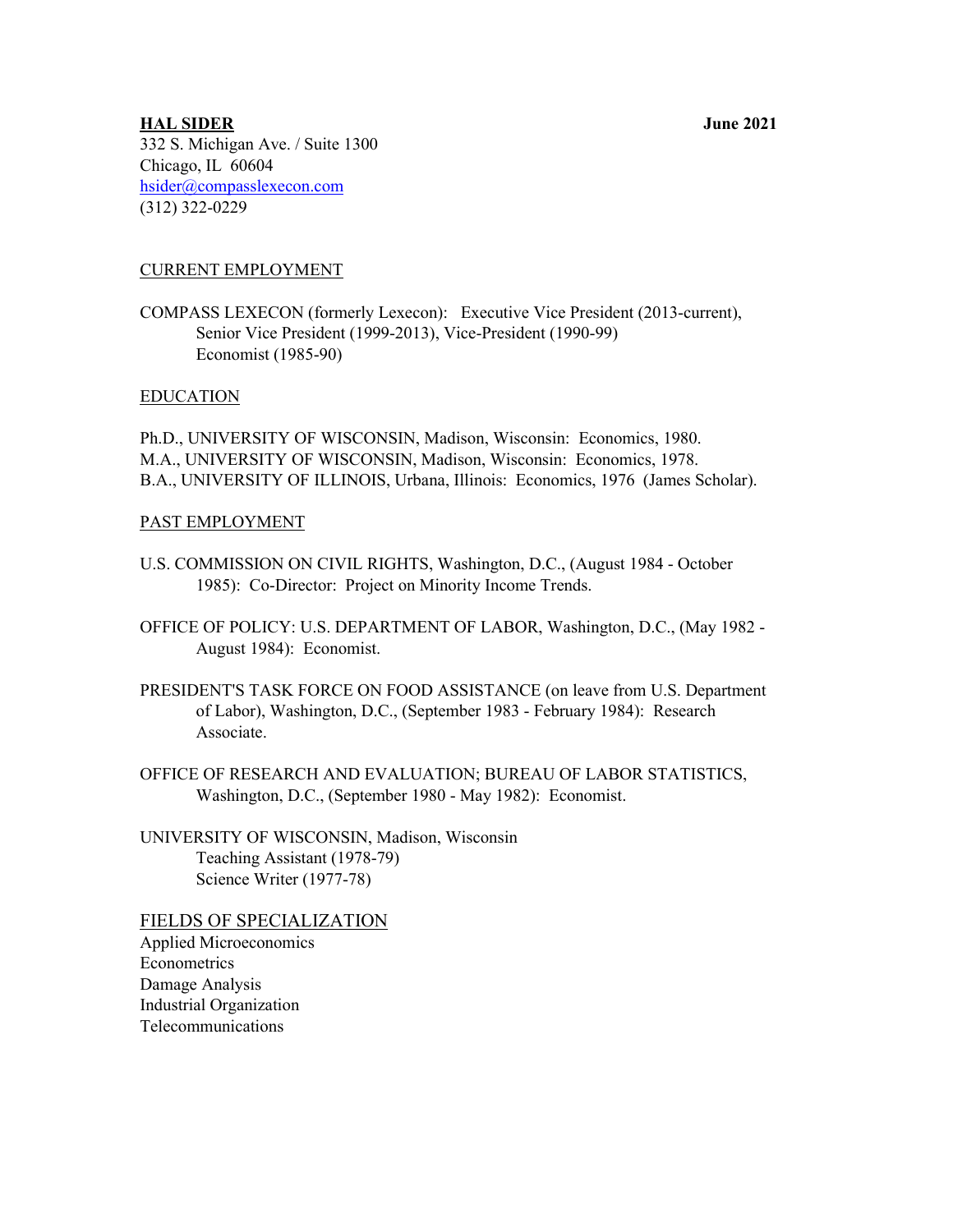# **HAL SIDER June 2021** 332 S. Michigan Ave. / Suite 1300 Chicago, IL 60604 [hsider@compasslexecon.com](mailto:hsider@compasslexecon.com) (312) 322-0229

# CURRENT EMPLOYMENT

COMPASS LEXECON (formerly Lexecon): Executive Vice President (2013-current), Senior Vice President (1999-2013), Vice-President (1990-99) Economist (1985-90)

## EDUCATION

Ph.D., UNIVERSITY OF WISCONSIN, Madison, Wisconsin: Economics, 1980. M.A., UNIVERSITY OF WISCONSIN, Madison, Wisconsin: Economics, 1978. B.A., UNIVERSITY OF ILLINOIS, Urbana, Illinois: Economics, 1976 (James Scholar).

## PAST EMPLOYMENT

- U.S. COMMISSION ON CIVIL RIGHTS, Washington, D.C., (August 1984 October 1985): Co-Director: Project on Minority Income Trends.
- OFFICE OF POLICY: U.S. DEPARTMENT OF LABOR, Washington, D.C., (May 1982 August 1984): Economist.
- PRESIDENT'S TASK FORCE ON FOOD ASSISTANCE (on leave from U.S. Department of Labor), Washington, D.C., (September 1983 - February 1984): Research Associate.
- OFFICE OF RESEARCH AND EVALUATION; BUREAU OF LABOR STATISTICS, Washington, D.C., (September 1980 - May 1982): Economist.
- UNIVERSITY OF WISCONSIN, Madison, Wisconsin Teaching Assistant (1978-79) Science Writer (1977-78)

FIELDS OF SPECIALIZATION Applied Microeconomics Econometrics Damage Analysis Industrial Organization Telecommunications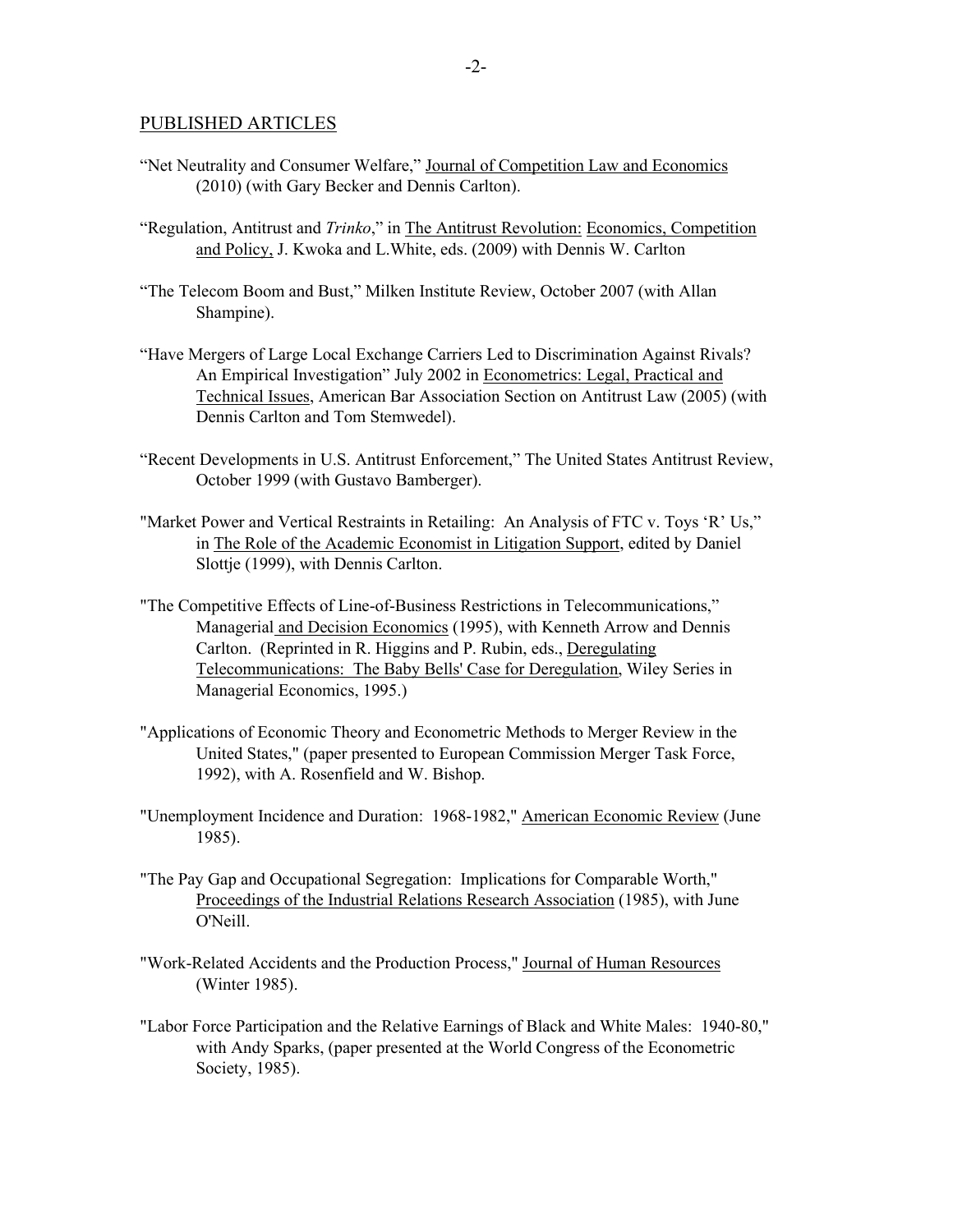#### PUBLISHED ARTICLES

- "Net Neutrality and Consumer Welfare," Journal of Competition Law and Economics (2010) (with Gary Becker and Dennis Carlton).
- "Regulation, Antitrust and *Trinko*," in The Antitrust Revolution: Economics, Competition and Policy, J. Kwoka and L.White, eds. (2009) with Dennis W. Carlton
- "The Telecom Boom and Bust," Milken Institute Review, October 2007 (with Allan Shampine).
- "Have Mergers of Large Local Exchange Carriers Led to Discrimination Against Rivals? An Empirical Investigation" July 2002 in Econometrics: Legal, Practical and Technical Issues, American Bar Association Section on Antitrust Law (2005) (with Dennis Carlton and Tom Stemwedel).
- "Recent Developments in U.S. Antitrust Enforcement," The United States Antitrust Review, October 1999 (with Gustavo Bamberger).
- "Market Power and Vertical Restraints in Retailing: An Analysis of FTC v. Toys 'R' Us," in The Role of the Academic Economist in Litigation Support, edited by Daniel Slottje (1999), with Dennis Carlton.
- "The Competitive Effects of Line-of-Business Restrictions in Telecommunications," Managerial and Decision Economics (1995), with Kenneth Arrow and Dennis Carlton. (Reprinted in R. Higgins and P. Rubin, eds., Deregulating Telecommunications: The Baby Bells' Case for Deregulation, Wiley Series in Managerial Economics, 1995.)
- "Applications of Economic Theory and Econometric Methods to Merger Review in the United States," (paper presented to European Commission Merger Task Force, 1992), with A. Rosenfield and W. Bishop.
- "Unemployment Incidence and Duration: 1968-1982," American Economic Review (June 1985).
- "The Pay Gap and Occupational Segregation: Implications for Comparable Worth," Proceedings of the Industrial Relations Research Association (1985), with June O'Neill.
- "Work-Related Accidents and the Production Process," Journal of Human Resources (Winter 1985).
- "Labor Force Participation and the Relative Earnings of Black and White Males: 1940-80," with Andy Sparks, (paper presented at the World Congress of the Econometric Society, 1985).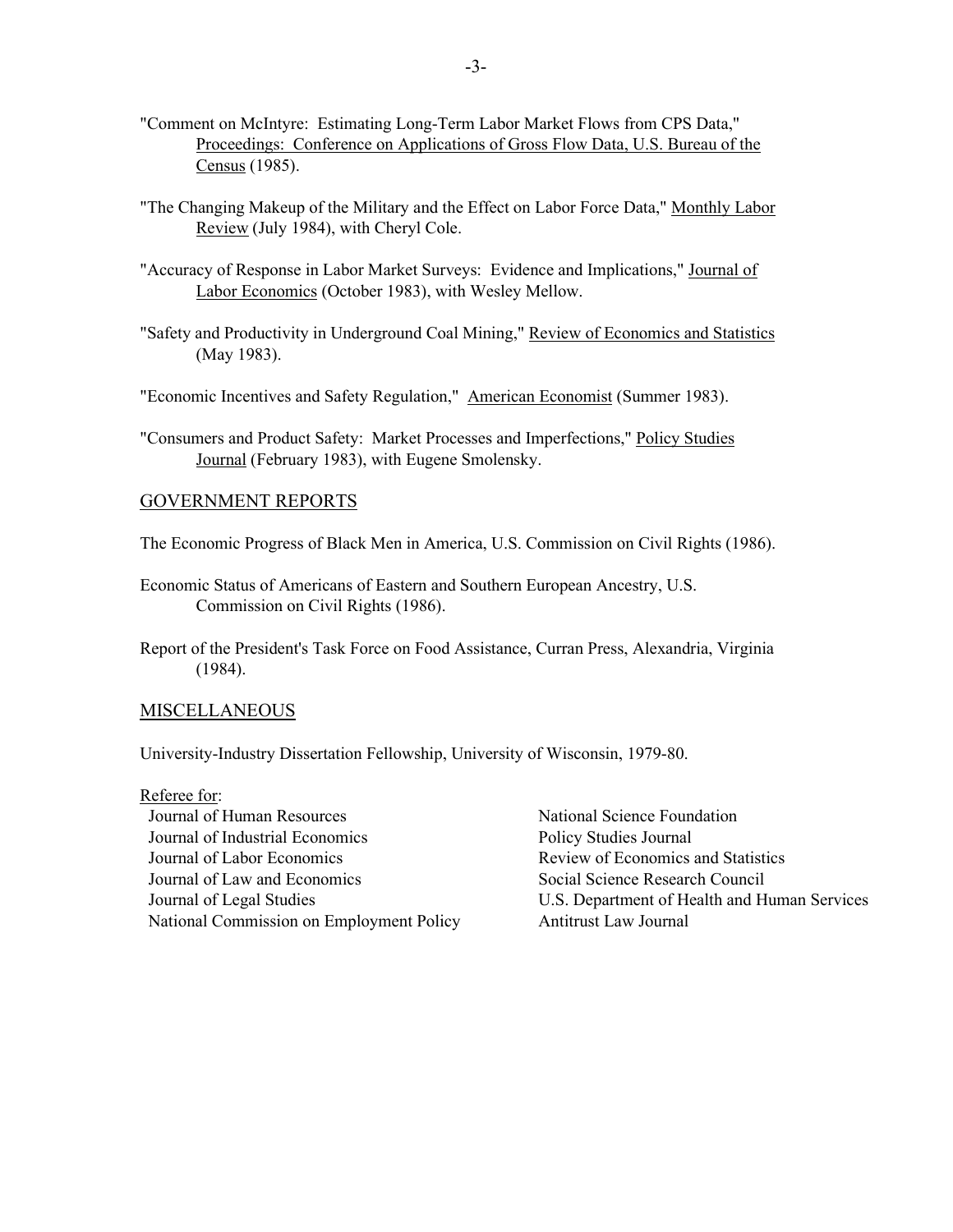- "Comment on McIntyre: Estimating Long-Term Labor Market Flows from CPS Data," Proceedings: Conference on Applications of Gross Flow Data, U.S. Bureau of the Census (1985).
- "The Changing Makeup of the Military and the Effect on Labor Force Data," Monthly Labor Review (July 1984), with Cheryl Cole.
- "Accuracy of Response in Labor Market Surveys: Evidence and Implications," Journal of Labor Economics (October 1983), with Wesley Mellow.
- "Safety and Productivity in Underground Coal Mining," Review of Economics and Statistics (May 1983).
- "Economic Incentives and Safety Regulation," American Economist (Summer 1983).
- "Consumers and Product Safety: Market Processes and Imperfections," Policy Studies Journal (February 1983), with Eugene Smolensky.

#### GOVERNMENT REPORTS

- The Economic Progress of Black Men in America, U.S. Commission on Civil Rights (1986).
- Economic Status of Americans of Eastern and Southern European Ancestry, U.S. Commission on Civil Rights (1986).
- Report of the President's Task Force on Food Assistance, Curran Press, Alexandria, Virginia (1984).

### MISCELLANEOUS

University-Industry Dissertation Fellowship, University of Wisconsin, 1979-80.

Referee for: Journal of Human Resources National Science Foundation Journal of Industrial Economics Policy Studies Journal Journal of Labor Economics Review of Economics and Statistics Journal of Law and Economics Social Science Research Council National Commission on Employment Policy Antitrust Law Journal

Journal of Legal Studies U.S. Department of Health and Human Services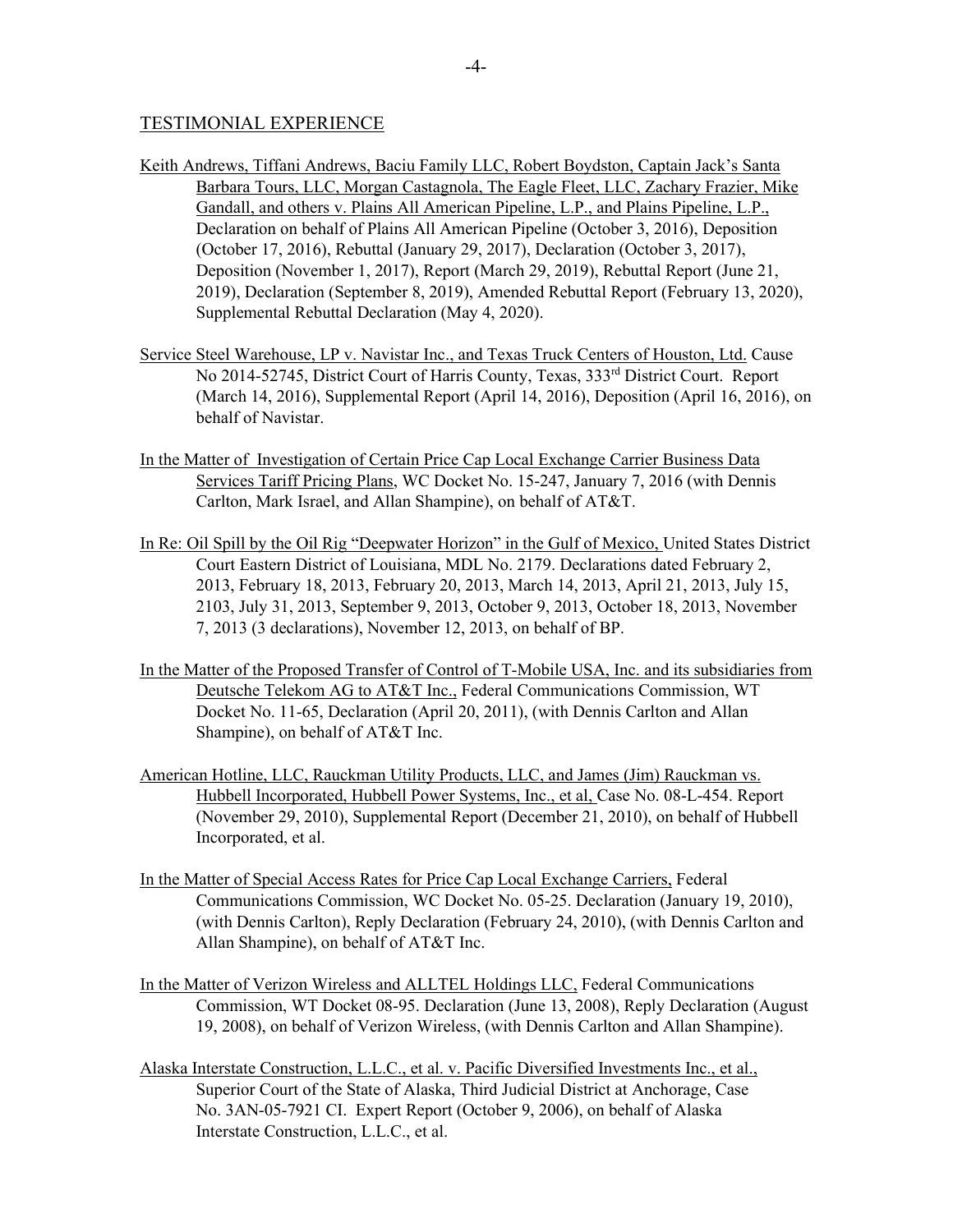## TESTIMONIAL EXPERIENCE

- Keith Andrews, Tiffani Andrews, Baciu Family LLC, Robert Boydston, Captain Jack's Santa Barbara Tours, LLC, Morgan Castagnola, The Eagle Fleet, LLC, Zachary Frazier, Mike Gandall, and others v. Plains All American Pipeline, L.P., and Plains Pipeline, L.P., Declaration on behalf of Plains All American Pipeline (October 3, 2016), Deposition (October 17, 2016), Rebuttal (January 29, 2017), Declaration (October 3, 2017), Deposition (November 1, 2017), Report (March 29, 2019), Rebuttal Report (June 21, 2019), Declaration (September 8, 2019), Amended Rebuttal Report (February 13, 2020), Supplemental Rebuttal Declaration (May 4, 2020).
- Service Steel Warehouse, LP v. Navistar Inc., and Texas Truck Centers of Houston, Ltd. Cause No 2014-52745, District Court of Harris County, Texas, 333rd District Court. Report (March 14, 2016), Supplemental Report (April 14, 2016), Deposition (April 16, 2016), on behalf of Navistar.
- In the Matter of Investigation of Certain Price Cap Local Exchange Carrier Business Data Services Tariff Pricing Plans, WC Docket No. 15-247, January 7, 2016 (with Dennis Carlton, Mark Israel, and Allan Shampine), on behalf of AT&T.
- In Re: Oil Spill by the Oil Rig "Deepwater Horizon" in the Gulf of Mexico, United States District Court Eastern District of Louisiana, MDL No. 2179. Declarations dated February 2, 2013, February 18, 2013, February 20, 2013, March 14, 2013, April 21, 2013, July 15, 2103, July 31, 2013, September 9, 2013, October 9, 2013, October 18, 2013, November 7, 2013 (3 declarations), November 12, 2013, on behalf of BP.
- In the Matter of the Proposed Transfer of Control of T-Mobile USA, Inc. and its subsidiaries from Deutsche Telekom AG to AT&T Inc., Federal Communications Commission, WT Docket No. 11-65, Declaration (April 20, 2011), (with Dennis Carlton and Allan Shampine), on behalf of AT&T Inc.
- American Hotline, LLC, Rauckman Utility Products, LLC, and James (Jim) Rauckman vs. Hubbell Incorporated, Hubbell Power Systems, Inc., et al, Case No. 08-L-454. Report (November 29, 2010), Supplemental Report (December 21, 2010), on behalf of Hubbell Incorporated, et al.
- In the Matter of Special Access Rates for Price Cap Local Exchange Carriers, Federal Communications Commission, WC Docket No. 05-25. Declaration (January 19, 2010), (with Dennis Carlton), Reply Declaration (February 24, 2010), (with Dennis Carlton and Allan Shampine), on behalf of AT&T Inc.
- In the Matter of Verizon Wireless and ALLTEL Holdings LLC, Federal Communications Commission, WT Docket 08-95. Declaration (June 13, 2008), Reply Declaration (August 19, 2008), on behalf of Verizon Wireless, (with Dennis Carlton and Allan Shampine).
- Alaska Interstate Construction, L.L.C., et al. v. Pacific Diversified Investments Inc., et al., Superior Court of the State of Alaska, Third Judicial District at Anchorage, Case No. 3AN-05-7921 CI. Expert Report (October 9, 2006), on behalf of Alaska Interstate Construction, L.L.C., et al.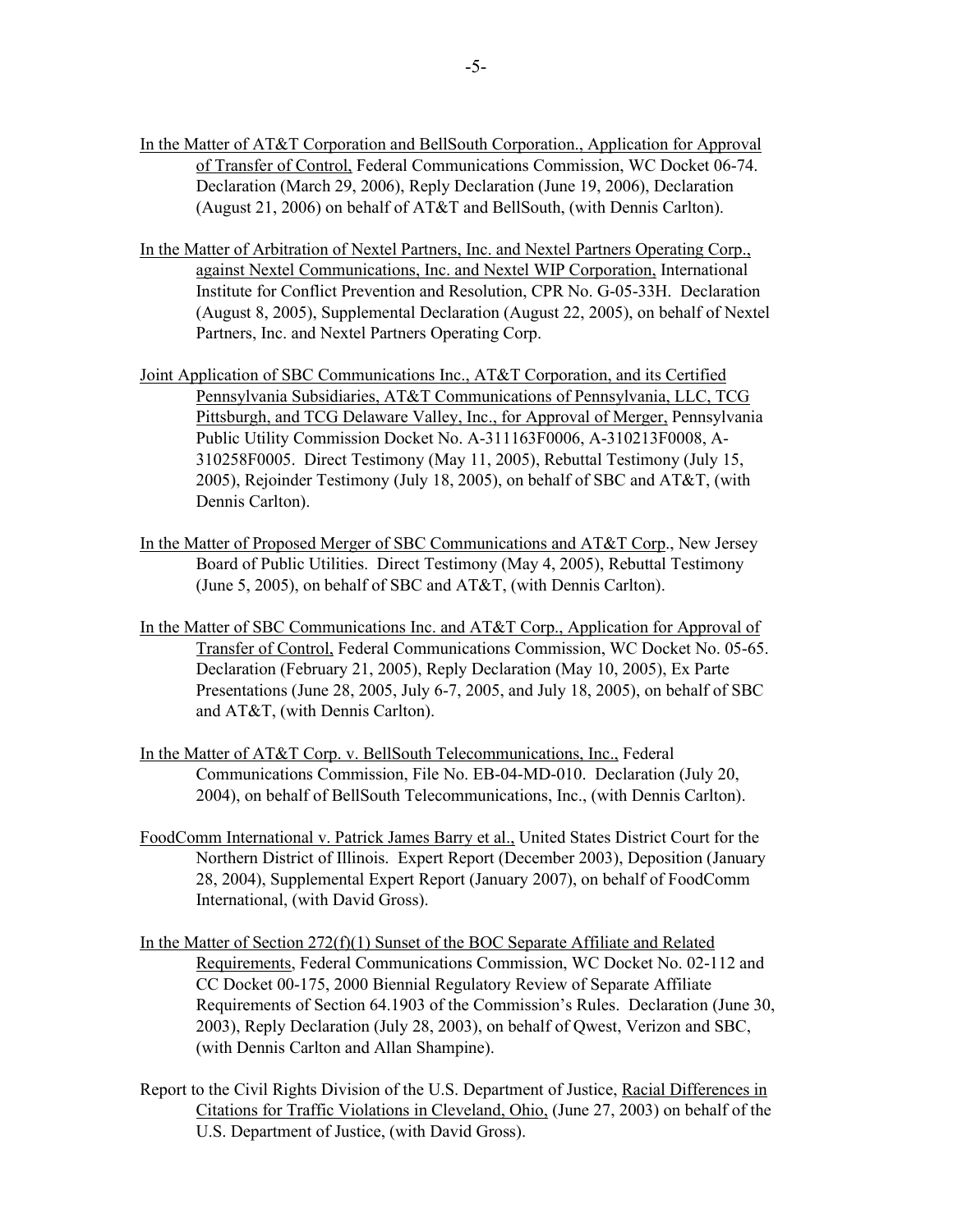- In the Matter of AT&T Corporation and BellSouth Corporation., Application for Approval of Transfer of Control, Federal Communications Commission, WC Docket 06-74. Declaration (March 29, 2006), Reply Declaration (June 19, 2006), Declaration (August 21, 2006) on behalf of AT&T and BellSouth, (with Dennis Carlton).
- In the Matter of Arbitration of Nextel Partners, Inc. and Nextel Partners Operating Corp., against Nextel Communications, Inc. and Nextel WIP Corporation, International Institute for Conflict Prevention and Resolution, CPR No. G-05-33H. Declaration (August 8, 2005), Supplemental Declaration (August 22, 2005), on behalf of Nextel Partners, Inc. and Nextel Partners Operating Corp.
- Joint Application of SBC Communications Inc., AT&T Corporation, and its Certified Pennsylvania Subsidiaries, AT&T Communications of Pennsylvania, LLC, TCG Pittsburgh, and TCG Delaware Valley, Inc., for Approval of Merger, Pennsylvania Public Utility Commission Docket No. A-311163F0006, A-310213F0008, A-310258F0005. Direct Testimony (May 11, 2005), Rebuttal Testimony (July 15, 2005), Rejoinder Testimony (July 18, 2005), on behalf of SBC and AT&T, (with Dennis Carlton).
- In the Matter of Proposed Merger of SBC Communications and AT&T Corp., New Jersey Board of Public Utilities. Direct Testimony (May 4, 2005), Rebuttal Testimony (June 5, 2005), on behalf of SBC and AT&T, (with Dennis Carlton).
- In the Matter of SBC Communications Inc. and AT&T Corp., Application for Approval of Transfer of Control, Federal Communications Commission, WC Docket No. 05-65. Declaration (February 21, 2005), Reply Declaration (May 10, 2005), Ex Parte Presentations (June 28, 2005, July 6-7, 2005, and July 18, 2005), on behalf of SBC and AT&T, (with Dennis Carlton).
- In the Matter of AT&T Corp. v. BellSouth Telecommunications, Inc., Federal Communications Commission, File No. EB-04-MD-010. Declaration (July 20, 2004), on behalf of BellSouth Telecommunications, Inc., (with Dennis Carlton).
- FoodComm International v. Patrick James Barry et al., United States District Court for the Northern District of Illinois. Expert Report (December 2003), Deposition (January 28, 2004), Supplemental Expert Report (January 2007), on behalf of FoodComm International, (with David Gross).
- In the Matter of Section 272(f)(1) Sunset of the BOC Separate Affiliate and Related Requirements, Federal Communications Commission, WC Docket No. 02-112 and CC Docket 00-175, 2000 Biennial Regulatory Review of Separate Affiliate Requirements of Section 64.1903 of the Commission's Rules. Declaration (June 30, 2003), Reply Declaration (July 28, 2003), on behalf of Qwest, Verizon and SBC, (with Dennis Carlton and Allan Shampine).
- Report to the Civil Rights Division of the U.S. Department of Justice, Racial Differences in Citations for Traffic Violations in Cleveland, Ohio, (June 27, 2003) on behalf of the U.S. Department of Justice, (with David Gross).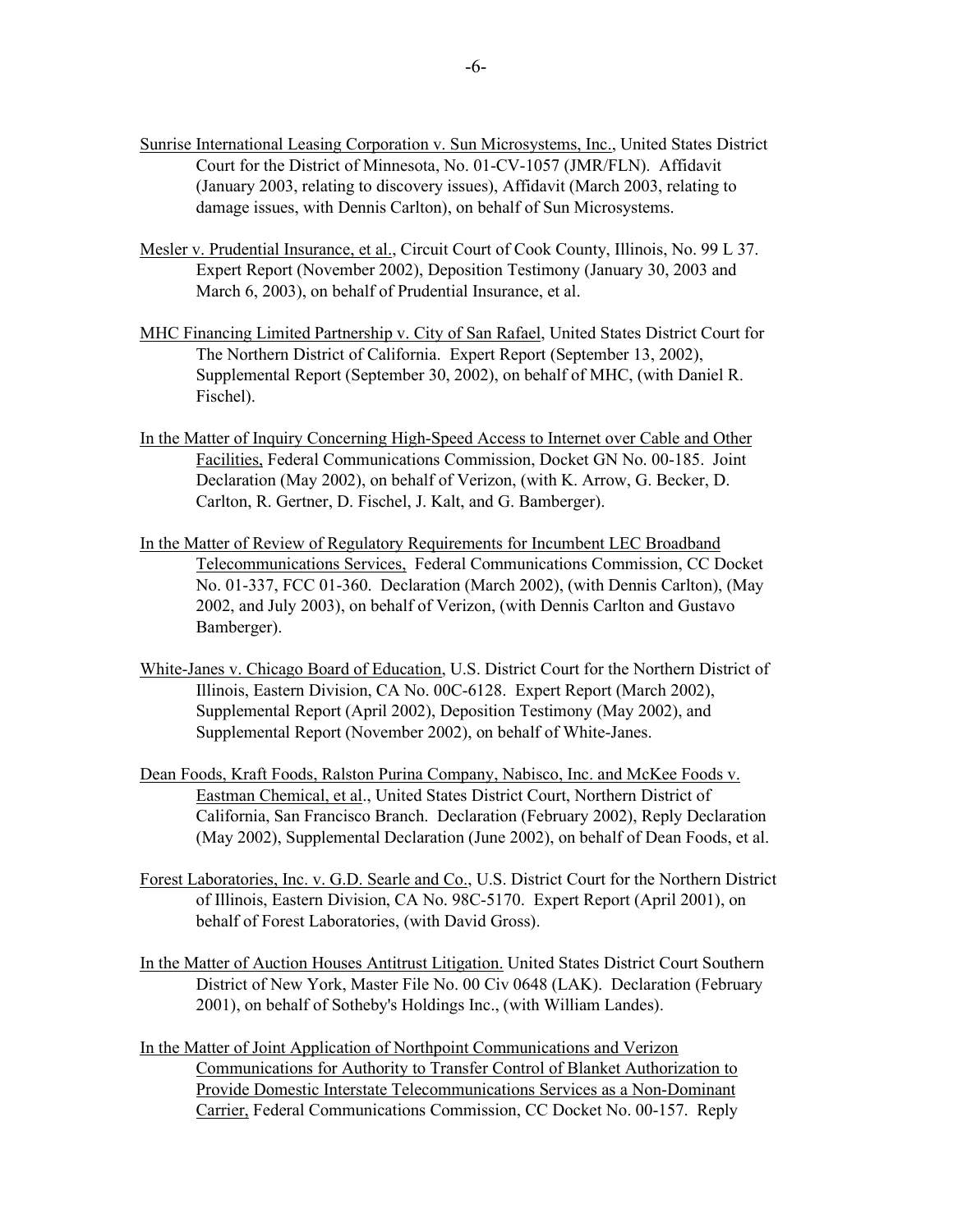- Sunrise International Leasing Corporation v. Sun Microsystems, Inc., United States District Court for the District of Minnesota, No. 01-CV-1057 (JMR/FLN). Affidavit (January 2003, relating to discovery issues), Affidavit (March 2003, relating to damage issues, with Dennis Carlton), on behalf of Sun Microsystems.
- Mesler v. Prudential Insurance, et al., Circuit Court of Cook County, Illinois, No. 99 L 37. Expert Report (November 2002), Deposition Testimony (January 30, 2003 and March 6, 2003), on behalf of Prudential Insurance, et al.
- MHC Financing Limited Partnership v. City of San Rafael, United States District Court for The Northern District of California. Expert Report (September 13, 2002), Supplemental Report (September 30, 2002), on behalf of MHC, (with Daniel R. Fischel).
- In the Matter of Inquiry Concerning High-Speed Access to Internet over Cable and Other Facilities, Federal Communications Commission, Docket GN No. 00-185. Joint Declaration (May 2002), on behalf of Verizon, (with K. Arrow, G. Becker, D. Carlton, R. Gertner, D. Fischel, J. Kalt, and G. Bamberger).
- In the Matter of Review of Regulatory Requirements for Incumbent LEC Broadband Telecommunications Services, Federal Communications Commission, CC Docket No. 01-337, FCC 01-360. Declaration (March 2002), (with Dennis Carlton), (May 2002, and July 2003), on behalf of Verizon, (with Dennis Carlton and Gustavo Bamberger).
- White-Janes v. Chicago Board of Education, U.S. District Court for the Northern District of Illinois, Eastern Division, CA No. 00C-6128. Expert Report (March 2002), Supplemental Report (April 2002), Deposition Testimony (May 2002), and Supplemental Report (November 2002), on behalf of White-Janes.
- Dean Foods, Kraft Foods, Ralston Purina Company, Nabisco, Inc. and McKee Foods v. Eastman Chemical, et al., United States District Court, Northern District of California, San Francisco Branch. Declaration (February 2002), Reply Declaration (May 2002), Supplemental Declaration (June 2002), on behalf of Dean Foods, et al.
- Forest Laboratories, Inc. v. G.D. Searle and Co., U.S. District Court for the Northern District of Illinois, Eastern Division, CA No. 98C-5170. Expert Report (April 2001), on behalf of Forest Laboratories, (with David Gross).
- In the Matter of Auction Houses Antitrust Litigation. United States District Court Southern District of New York, Master File No. 00 Civ 0648 (LAK). Declaration (February 2001), on behalf of Sotheby's Holdings Inc., (with William Landes).
- In the Matter of Joint Application of Northpoint Communications and Verizon Communications for Authority to Transfer Control of Blanket Authorization to Provide Domestic Interstate Telecommunications Services as a Non-Dominant Carrier, Federal Communications Commission, CC Docket No. 00-157. Reply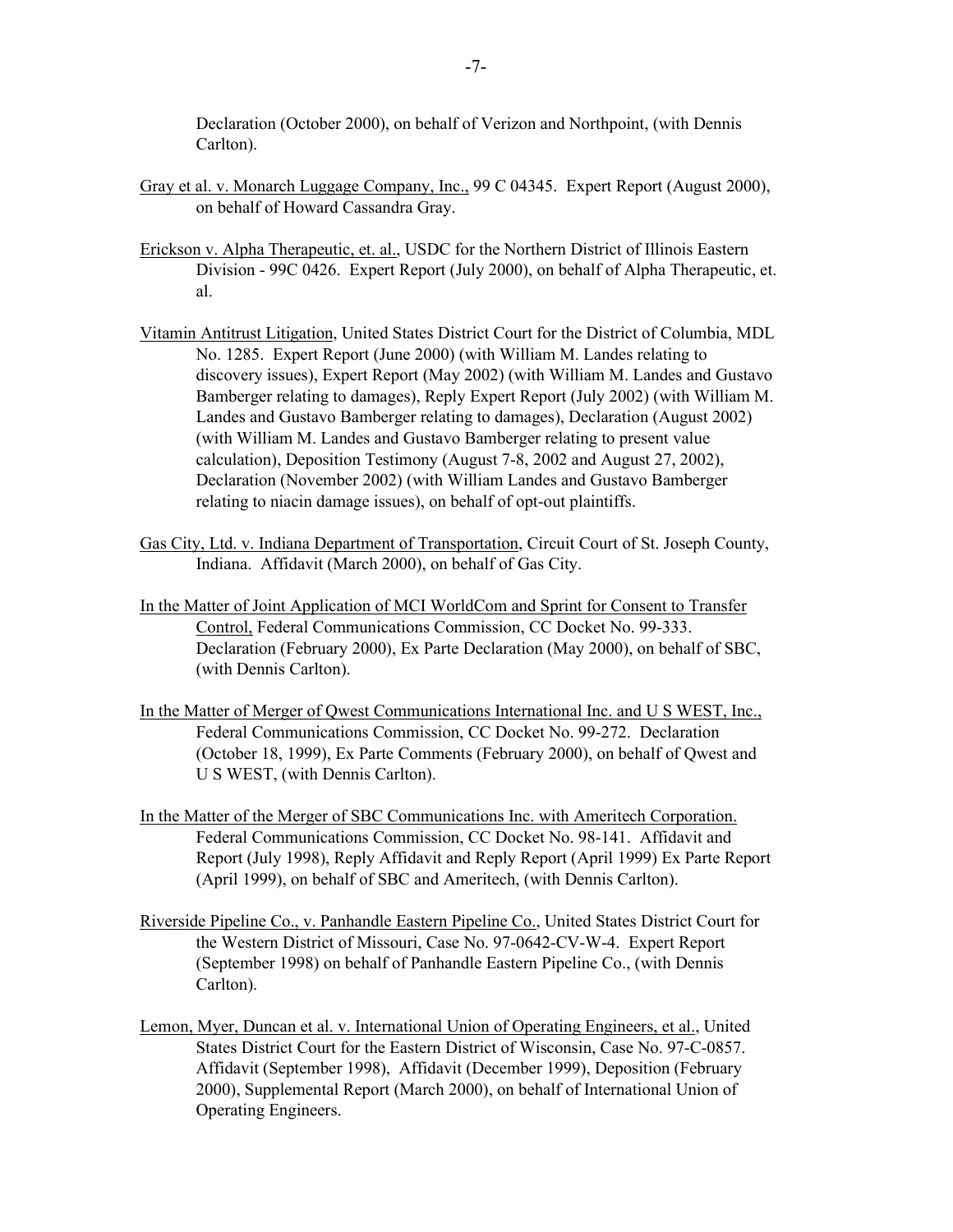Declaration (October 2000), on behalf of Verizon and Northpoint, (with Dennis Carlton).

- Gray et al. v. Monarch Luggage Company, Inc., 99 C 04345. Expert Report (August 2000), on behalf of Howard Cassandra Gray.
- Erickson v. Alpha Therapeutic, et. al., USDC for the Northern District of Illinois Eastern Division - 99C 0426. Expert Report (July 2000), on behalf of Alpha Therapeutic, et. al.
- Vitamin Antitrust Litigation, United States District Court for the District of Columbia, MDL No. 1285. Expert Report (June 2000) (with William M. Landes relating to discovery issues), Expert Report (May 2002) (with William M. Landes and Gustavo Bamberger relating to damages), Reply Expert Report (July 2002) (with William M. Landes and Gustavo Bamberger relating to damages), Declaration (August 2002) (with William M. Landes and Gustavo Bamberger relating to present value calculation), Deposition Testimony (August 7-8, 2002 and August 27, 2002), Declaration (November 2002) (with William Landes and Gustavo Bamberger relating to niacin damage issues), on behalf of opt-out plaintiffs.
- Gas City, Ltd. v. Indiana Department of Transportation, Circuit Court of St. Joseph County, Indiana. Affidavit (March 2000), on behalf of Gas City.
- In the Matter of Joint Application of MCI WorldCom and Sprint for Consent to Transfer Control, Federal Communications Commission, CC Docket No. 99-333. Declaration (February 2000), Ex Parte Declaration (May 2000), on behalf of SBC, (with Dennis Carlton).
- In the Matter of Merger of Qwest Communications International Inc. and U S WEST, Inc., Federal Communications Commission, CC Docket No. 99-272. Declaration (October 18, 1999), Ex Parte Comments (February 2000), on behalf of Qwest and U S WEST, (with Dennis Carlton).
- In the Matter of the Merger of SBC Communications Inc. with Ameritech Corporation. Federal Communications Commission, CC Docket No. 98-141. Affidavit and Report (July 1998), Reply Affidavit and Reply Report (April 1999) Ex Parte Report (April 1999), on behalf of SBC and Ameritech, (with Dennis Carlton).
- Riverside Pipeline Co., v. Panhandle Eastern Pipeline Co., United States District Court for the Western District of Missouri, Case No. 97-0642-CV-W-4. Expert Report (September 1998) on behalf of Panhandle Eastern Pipeline Co., (with Dennis Carlton).
- Lemon, Myer, Duncan et al. v. International Union of Operating Engineers, et al., United States District Court for the Eastern District of Wisconsin, Case No. 97-C-0857. Affidavit (September 1998), Affidavit (December 1999), Deposition (February 2000), Supplemental Report (March 2000), on behalf of International Union of Operating Engineers.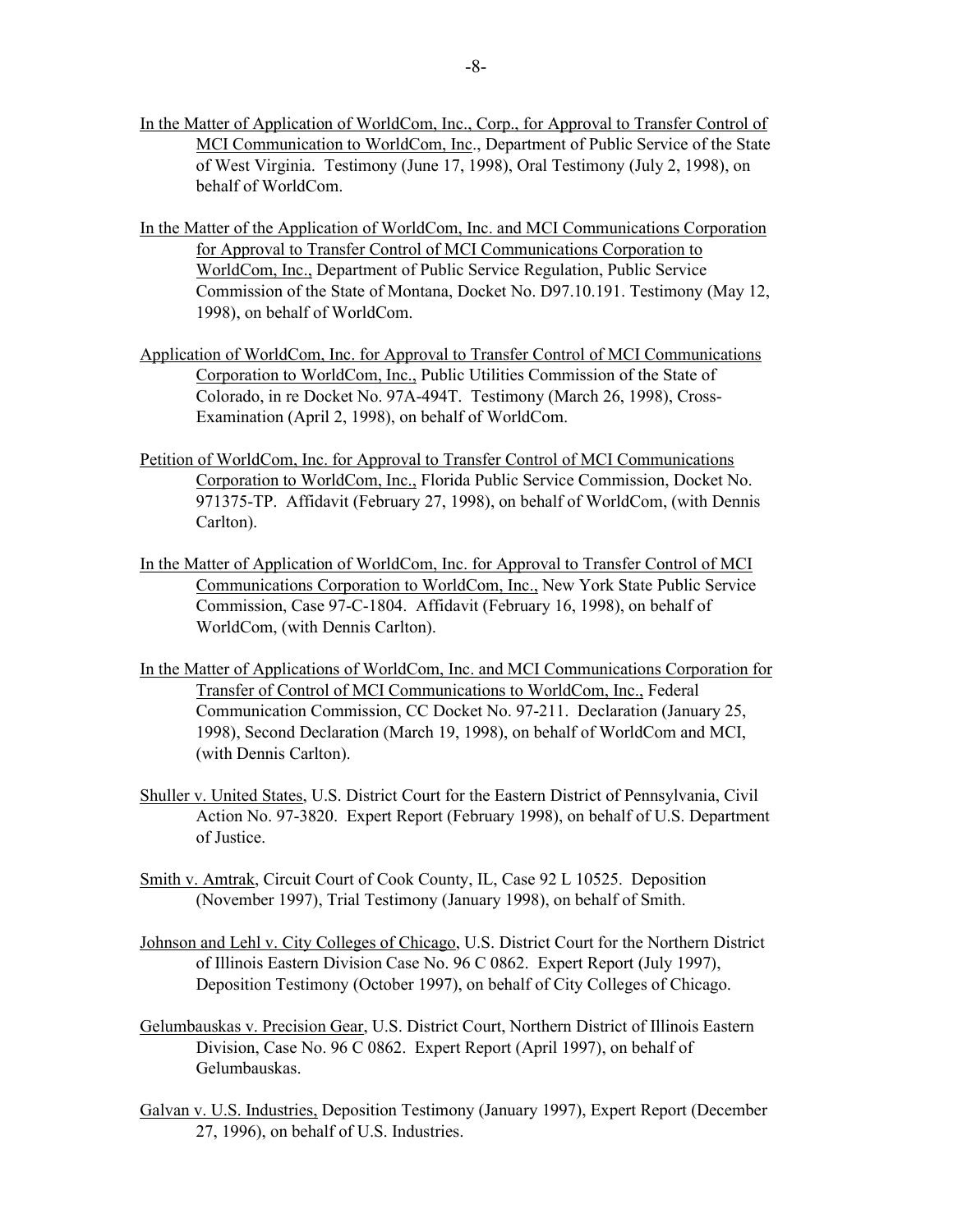- In the Matter of Application of WorldCom, Inc., Corp., for Approval to Transfer Control of MCI Communication to WorldCom, Inc., Department of Public Service of the State of West Virginia. Testimony (June 17, 1998), Oral Testimony (July 2, 1998), on behalf of WorldCom.
- In the Matter of the Application of WorldCom, Inc. and MCI Communications Corporation for Approval to Transfer Control of MCI Communications Corporation to WorldCom, Inc., Department of Public Service Regulation, Public Service Commission of the State of Montana, Docket No. D97.10.191. Testimony (May 12, 1998), on behalf of WorldCom.
- Application of WorldCom, Inc. for Approval to Transfer Control of MCI Communications Corporation to WorldCom, Inc., Public Utilities Commission of the State of Colorado, in re Docket No. 97A-494T. Testimony (March 26, 1998), Cross-Examination (April 2, 1998), on behalf of WorldCom.
- Petition of WorldCom, Inc. for Approval to Transfer Control of MCI Communications Corporation to WorldCom, Inc., Florida Public Service Commission, Docket No. 971375-TP. Affidavit (February 27, 1998), on behalf of WorldCom, (with Dennis Carlton).
- In the Matter of Application of WorldCom, Inc. for Approval to Transfer Control of MCI Communications Corporation to WorldCom, Inc., New York State Public Service Commission, Case 97-C-1804. Affidavit (February 16, 1998), on behalf of WorldCom, (with Dennis Carlton).
- In the Matter of Applications of WorldCom, Inc. and MCI Communications Corporation for Transfer of Control of MCI Communications to WorldCom, Inc., Federal Communication Commission, CC Docket No. 97-211. Declaration (January 25, 1998), Second Declaration (March 19, 1998), on behalf of WorldCom and MCI, (with Dennis Carlton).
- Shuller v. United States, U.S. District Court for the Eastern District of Pennsylvania, Civil Action No. 97-3820. Expert Report (February 1998), on behalf of U.S. Department of Justice.
- Smith v. Amtrak, Circuit Court of Cook County, IL, Case 92 L 10525. Deposition (November 1997), Trial Testimony (January 1998), on behalf of Smith.
- Johnson and Lehl v. City Colleges of Chicago, U.S. District Court for the Northern District of Illinois Eastern Division Case No. 96 C 0862. Expert Report (July 1997), Deposition Testimony (October 1997), on behalf of City Colleges of Chicago.
- Gelumbauskas v. Precision Gear, U.S. District Court, Northern District of Illinois Eastern Division, Case No. 96 C 0862. Expert Report (April 1997), on behalf of Gelumbauskas.
- Galvan v. U.S. Industries, Deposition Testimony (January 1997), Expert Report (December 27, 1996), on behalf of U.S. Industries.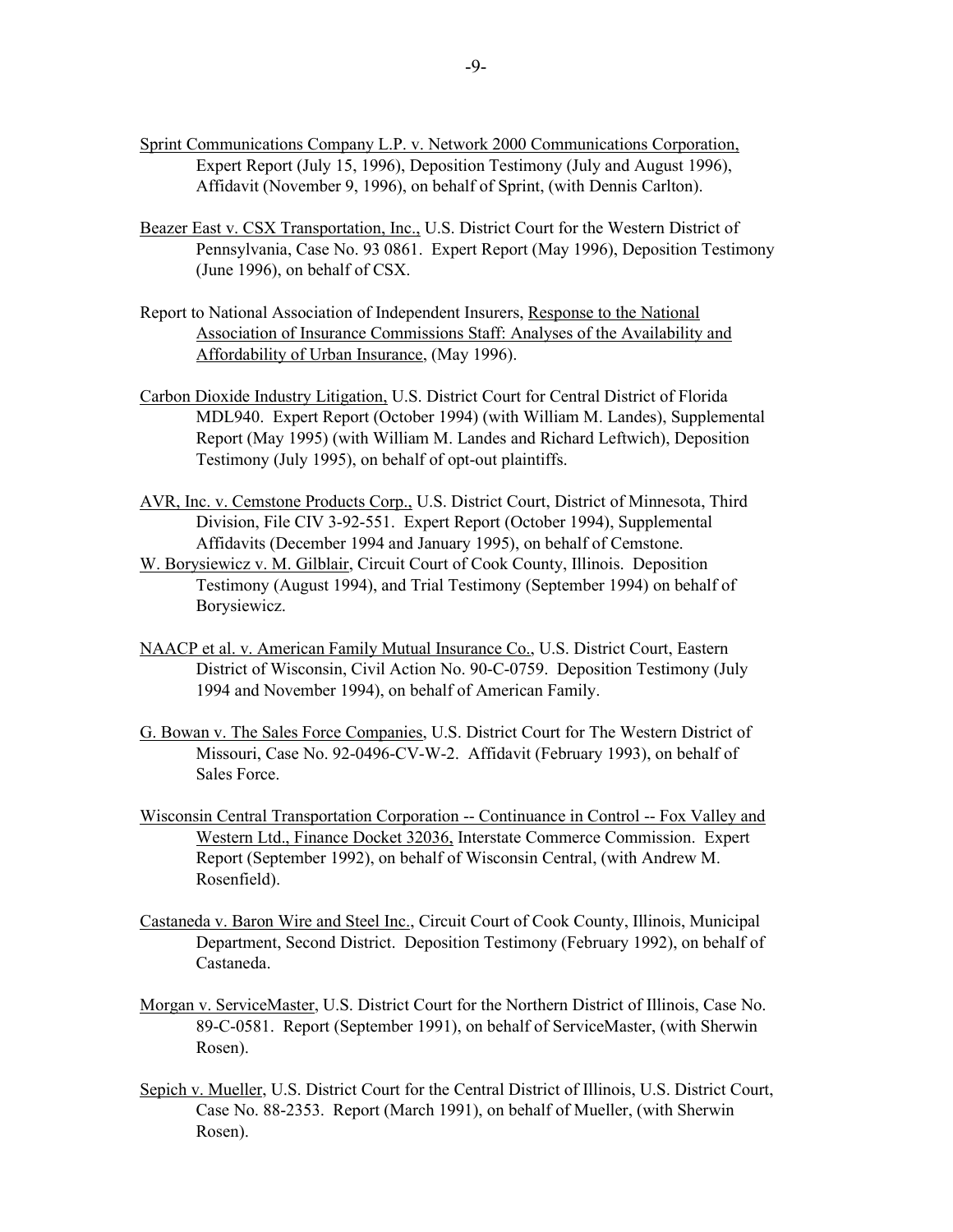- Sprint Communications Company L.P. v. Network 2000 Communications Corporation, Expert Report (July 15, 1996), Deposition Testimony (July and August 1996), Affidavit (November 9, 1996), on behalf of Sprint, (with Dennis Carlton).
- Beazer East v. CSX Transportation, Inc., U.S. District Court for the Western District of Pennsylvania, Case No. 93 0861. Expert Report (May 1996), Deposition Testimony (June 1996), on behalf of CSX.
- Report to National Association of Independent Insurers, Response to the National Association of Insurance Commissions Staff: Analyses of the Availability and Affordability of Urban Insurance, (May 1996).
- Carbon Dioxide Industry Litigation, U.S. District Court for Central District of Florida MDL940. Expert Report (October 1994) (with William M. Landes), Supplemental Report (May 1995) (with William M. Landes and Richard Leftwich), Deposition Testimony (July 1995), on behalf of opt-out plaintiffs.
- AVR, Inc. v. Cemstone Products Corp., U.S. District Court, District of Minnesota, Third Division, File CIV 3-92-551. Expert Report (October 1994), Supplemental Affidavits (December 1994 and January 1995), on behalf of Cemstone.
- W. Borysiewicz v. M. Gilblair, Circuit Court of Cook County, Illinois. Deposition Testimony (August 1994), and Trial Testimony (September 1994) on behalf of Borysiewicz.
- NAACP et al. v. American Family Mutual Insurance Co., U.S. District Court, Eastern District of Wisconsin, Civil Action No. 90-C-0759. Deposition Testimony (July 1994 and November 1994), on behalf of American Family.
- G. Bowan v. The Sales Force Companies, U.S. District Court for The Western District of Missouri, Case No. 92-0496-CV-W-2. Affidavit (February 1993), on behalf of Sales Force.
- Wisconsin Central Transportation Corporation -- Continuance in Control -- Fox Valley and Western Ltd., Finance Docket 32036, Interstate Commerce Commission. Expert Report (September 1992), on behalf of Wisconsin Central, (with Andrew M. Rosenfield).
- Castaneda v. Baron Wire and Steel Inc., Circuit Court of Cook County, Illinois, Municipal Department, Second District. Deposition Testimony (February 1992), on behalf of Castaneda.
- Morgan v. ServiceMaster, U.S. District Court for the Northern District of Illinois, Case No. 89-C-0581. Report (September 1991), on behalf of ServiceMaster, (with Sherwin Rosen).
- Sepich v. Mueller, U.S. District Court for the Central District of Illinois, U.S. District Court, Case No. 88-2353. Report (March 1991), on behalf of Mueller, (with Sherwin Rosen).